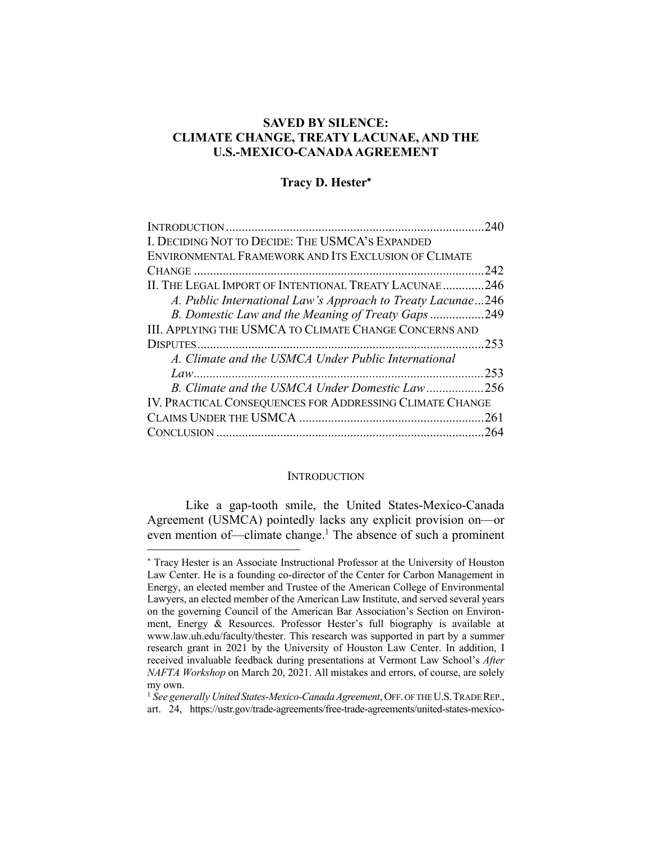# **SAVED BY SILENCE: CLIMATE CHANGE, TREATY LACUNAE, AND THE U.S.-MEXICO-CANADA AGREEMENT**

#### **Tracy D. Hester**\*

| I. DECIDING NOT TO DECIDE: THE USMCA'S EXPANDED             |      |
|-------------------------------------------------------------|------|
| ENVIRONMENTAL FRAMEWORK AND ITS EXCLUSION OF CLIMATE        |      |
|                                                             | .242 |
| II. THE LEGAL IMPORT OF INTENTIONAL TREATY LACUNAE246       |      |
| A. Public International Law's Approach to Treaty Lacunae246 |      |
| B. Domestic Law and the Meaning of Treaty Gaps249           |      |
| III. APPLYING THE USMCA TO CLIMATE CHANGE CONCERNS AND      |      |
|                                                             |      |
| A. Climate and the USMCA Under Public International         |      |
|                                                             |      |
| B. Climate and the USMCA Under Domestic Law256              |      |
| IV. PRACTICAL CONSEQUENCES FOR ADDRESSING CLIMATE CHANGE    |      |
|                                                             |      |
|                                                             |      |
|                                                             |      |

#### **INTRODUCTION**

Like a gap-tooth smile, the United States-Mexico-Canada Agreement (USMCA) pointedly lacks any explicit provision on—or even mention of—climate change.<sup>1</sup> The absence of such a prominent

<sup>\*</sup> Tracy Hester is an Associate Instructional Professor at the University of Houston Law Center. He is a founding co-director of the Center for Carbon Management in Energy, an elected member and Trustee of the American College of Environmental Lawyers, an elected member of the American Law Institute, and served several years on the governing Council of the American Bar Association's Section on Environment, Energy & Resources. Professor Hester's full biography is available at www.law.uh.edu/faculty/thester. This research was supported in part by a summer research grant in 2021 by the University of Houston Law Center. In addition, I received invaluable feedback during presentations at Vermont Law School's *After NAFTA Workshop* on March 20, 2021. All mistakes and errors, of course, are solely my own.

<sup>&</sup>lt;sup>1</sup> See generally United States-Mexico-Canada Agreement, OFF. OF THE U.S. TRADE REP., art. 24, https://ustr.gov/trade-agreements/free-trade-agreements/united-states-mexico-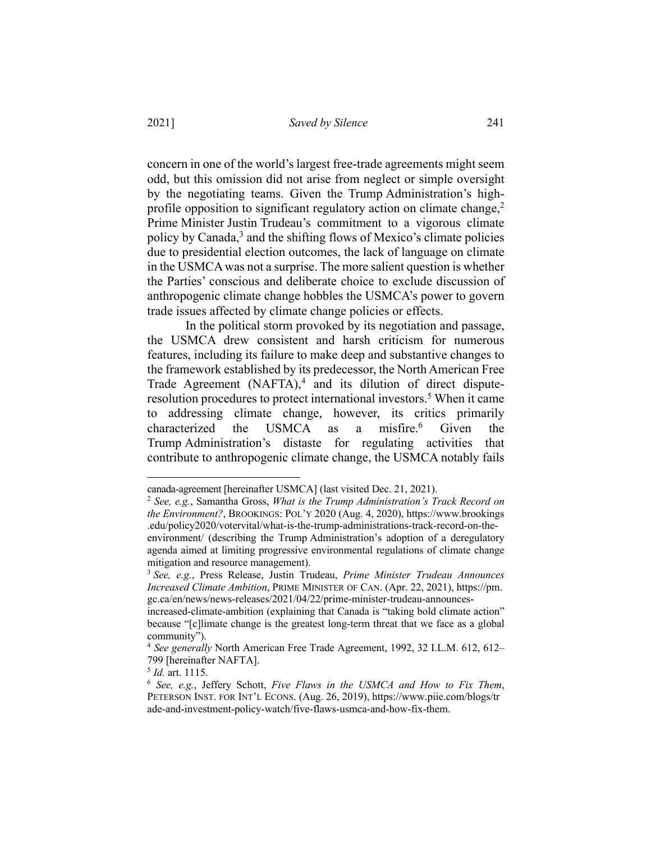concern in one of the world's largest free-trade agreements might seem odd, but this omission did not arise from neglect or simple oversight by the negotiating teams. Given the Trump Administration's highprofile opposition to significant regulatory action on climate change, $2$ Prime Minister Justin Trudeau's commitment to a vigorous climate policy by Canada, $3$  and the shifting flows of Mexico's climate policies due to presidential election outcomes, the lack of language on climate in the USMCA was not a surprise. The more salient question is whether the Parties' conscious and deliberate choice to exclude discussion of anthropogenic climate change hobbles the USMCA's power to govern trade issues affected by climate change policies or effects.

In the political storm provoked by its negotiation and passage, the USMCA drew consistent and harsh criticism for numerous features, including its failure to make deep and substantive changes to the framework established by its predecessor, the North American Free Trade Agreement  $(NAFTA)$ ,<sup>4</sup> and its dilution of direct disputeresolution procedures to protect international investors.<sup>5</sup> When it came to addressing climate change, however, its critics primarily characterized the USMCA as a misfire.<sup>6</sup> Given the Trump Administration's distaste for regulating activities that contribute to anthropogenic climate change, the USMCA notably fails

canada-agreement [hereinafter USMCA] (last visited Dec. 21, 2021).

<sup>2</sup> *See, e.g.*, Samantha Gross, *What is the Trump Administration's Track Record on the Environment?*, BROOKINGS: POL'Y 2020 (Aug. 4, 2020), https://www.brookings .edu/policy2020/votervital/what-is-the-trump-administrations-track-record-on-theenvironment/ (describing the Trump Administration's adoption of a deregulatory agenda aimed at limiting progressive environmental regulations of climate change mitigation and resource management).

<sup>3</sup> *See, e.g.*, Press Release, Justin Trudeau, *Prime Minister Trudeau Announces Increased Climate Ambition*, PRIME MINISTER OF CAN. (Apr. 22, 2021), https://pm. gc.ca/en/news/news-releases/2021/04/22/prime-minister-trudeau-announces-

increased-climate-ambition (explaining that Canada is "taking bold climate action" because "[c]limate change is the greatest long-term threat that we face as a global community").

<sup>4</sup> *See generally* North American Free Trade Agreement, 1992, 32 I.L.M. 612, 612– 799 [hereinafter NAFTA].

<sup>5</sup> *Id.* art. 1115.

<sup>6</sup> *See, e.g.*, Jeffery Schott, *Five Flaws in the USMCA and How to Fix Them*, PETERSON INST. FOR INT'L ECONS. (Aug. 26, 2019), https://www.piie.com/blogs/tr ade-and-investment-policy-watch/five-flaws-usmca-and-how-fix-them.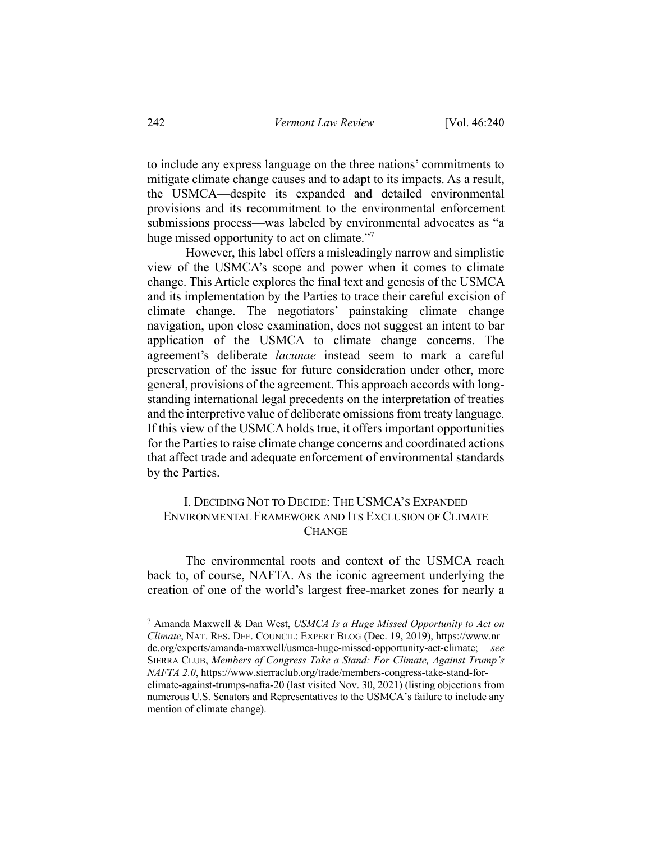to include any express language on the three nations' commitments to mitigate climate change causes and to adapt to its impacts. As a result, the USMCA—despite its expanded and detailed environmental provisions and its recommitment to the environmental enforcement submissions process—was labeled by environmental advocates as "a huge missed opportunity to act on climate."<sup>7</sup>

However, this label offers a misleadingly narrow and simplistic view of the USMCA's scope and power when it comes to climate change. This Article explores the final text and genesis of the USMCA and its implementation by the Parties to trace their careful excision of climate change. The negotiators' painstaking climate change navigation, upon close examination, does not suggest an intent to bar application of the USMCA to climate change concerns. The agreement's deliberate *lacunae* instead seem to mark a careful preservation of the issue for future consideration under other, more general, provisions of the agreement. This approach accords with longstanding international legal precedents on the interpretation of treaties and the interpretive value of deliberate omissions from treaty language. If this view of the USMCA holds true, it offers important opportunities for the Parties to raise climate change concerns and coordinated actions that affect trade and adequate enforcement of environmental standards by the Parties.

# I. DECIDING NOT TO DECIDE: THE USMCA'S EXPANDED ENVIRONMENTAL FRAMEWORK AND ITS EXCLUSION OF CLIMATE **CHANGE**

The environmental roots and context of the USMCA reach back to, of course, NAFTA. As the iconic agreement underlying the creation of one of the world's largest free-market zones for nearly a

<sup>7</sup> Amanda Maxwell & Dan West, *USMCA Is a Huge Missed Opportunity to Act on Climate*, NAT. RES. DEF. COUNCIL: EXPERT BLOG (Dec. 19, 2019), https://www.nr dc.org/experts/amanda-maxwell/usmca-huge-missed-opportunity-act-climate; *see*  SIERRA CLUB, *Members of Congress Take a Stand: For Climate, Against Trump's NAFTA 2.0*, https://www.sierraclub.org/trade/members-congress-take-stand-forclimate-against-trumps-nafta-20 (last visited Nov. 30, 2021) (listing objections from numerous U.S. Senators and Representatives to the USMCA's failure to include any mention of climate change).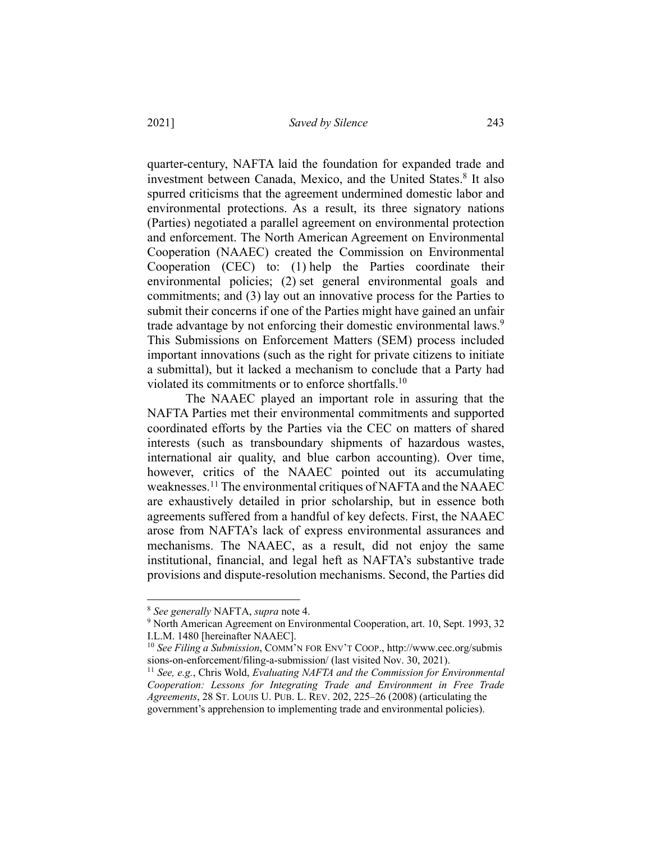quarter-century, NAFTA laid the foundation for expanded trade and investment between Canada, Mexico, and the United States.<sup>8</sup> It also spurred criticisms that the agreement undermined domestic labor and environmental protections. As a result, its three signatory nations (Parties) negotiated a parallel agreement on environmental protection and enforcement. The North American Agreement on Environmental Cooperation (NAAEC) created the Commission on Environmental Cooperation (CEC) to: (1) help the Parties coordinate their environmental policies; (2) set general environmental goals and commitments; and (3) lay out an innovative process for the Parties to submit their concerns if one of the Parties might have gained an unfair trade advantage by not enforcing their domestic environmental laws.<sup>9</sup> This Submissions on Enforcement Matters (SEM) process included important innovations (such as the right for private citizens to initiate a submittal), but it lacked a mechanism to conclude that a Party had violated its commitments or to enforce shortfalls.10

The NAAEC played an important role in assuring that the NAFTA Parties met their environmental commitments and supported coordinated efforts by the Parties via the CEC on matters of shared interests (such as transboundary shipments of hazardous wastes, international air quality, and blue carbon accounting). Over time, however, critics of the NAAEC pointed out its accumulating weaknesses.<sup>11</sup> The environmental critiques of NAFTA and the NAAEC are exhaustively detailed in prior scholarship, but in essence both agreements suffered from a handful of key defects. First, the NAAEC arose from NAFTA's lack of express environmental assurances and mechanisms. The NAAEC, as a result, did not enjoy the same institutional, financial, and legal heft as NAFTA's substantive trade provisions and dispute-resolution mechanisms. Second, the Parties did

<sup>8</sup> *See generally* NAFTA, *supra* note 4.

<sup>&</sup>lt;sup>9</sup> North American Agreement on Environmental Cooperation, art. 10, Sept. 1993, 32 I.L.M. 1480 [hereinafter NAAEC].

<sup>10</sup> *See Filing a Submission*, COMM'N FOR ENV'T COOP., http://www.cec.org/submis sions-on-enforcement/filing-a-submission/ (last visited Nov. 30, 2021).<br><sup>11</sup> *See, e.g.*, Chris Wold, *Evaluating NAFTA and the Commission for Environmental* 

*Cooperation: Lessons for Integrating Trade and Environment in Free Trade Agreements*, 28 ST. LOUIS U. PUB. L. REV. 202, 225–26 (2008) (articulating the government's apprehension to implementing trade and environmental policies).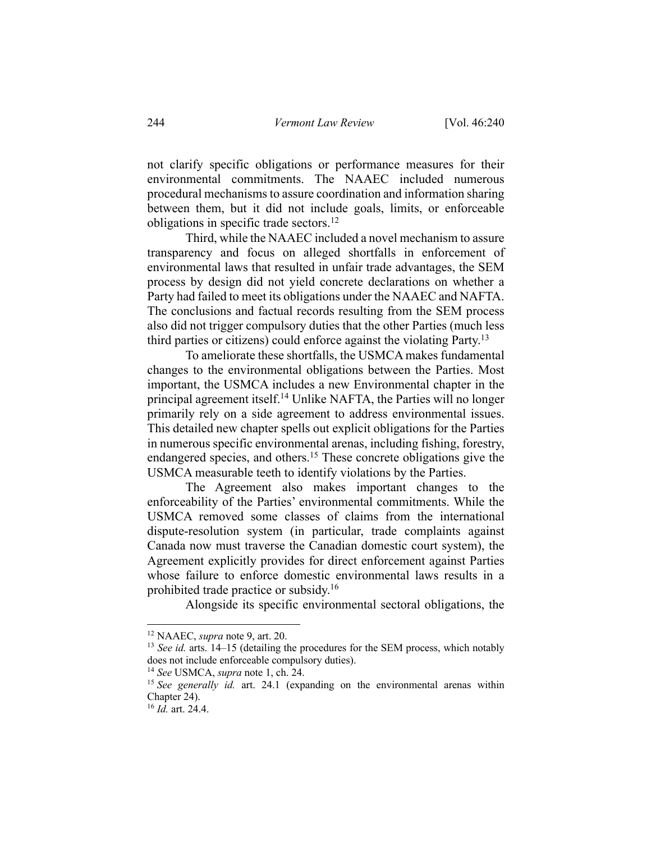not clarify specific obligations or performance measures for their environmental commitments. The NAAEC included numerous procedural mechanisms to assure coordination and information sharing between them, but it did not include goals, limits, or enforceable obligations in specific trade sectors.12

Third, while the NAAEC included a novel mechanism to assure transparency and focus on alleged shortfalls in enforcement of environmental laws that resulted in unfair trade advantages, the SEM process by design did not yield concrete declarations on whether a Party had failed to meet its obligations under the NAAEC and NAFTA. The conclusions and factual records resulting from the SEM process also did not trigger compulsory duties that the other Parties (much less third parties or citizens) could enforce against the violating Party.<sup>13</sup>

To ameliorate these shortfalls, the USMCA makes fundamental changes to the environmental obligations between the Parties. Most important, the USMCA includes a new Environmental chapter in the principal agreement itself.14 Unlike NAFTA, the Parties will no longer primarily rely on a side agreement to address environmental issues. This detailed new chapter spells out explicit obligations for the Parties in numerous specific environmental arenas, including fishing, forestry, endangered species, and others.<sup>15</sup> These concrete obligations give the USMCA measurable teeth to identify violations by the Parties.

The Agreement also makes important changes to the enforceability of the Parties' environmental commitments. While the USMCA removed some classes of claims from the international dispute-resolution system (in particular, trade complaints against Canada now must traverse the Canadian domestic court system), the Agreement explicitly provides for direct enforcement against Parties whose failure to enforce domestic environmental laws results in a prohibited trade practice or subsidy.<sup>16</sup>

Alongside its specific environmental sectoral obligations, the

<sup>12</sup> NAAEC, *supra* note 9, art. 20.

<sup>&</sup>lt;sup>13</sup> *See id.* arts. 14–15 (detailing the procedures for the SEM process, which notably does not include enforceable compulsory duties).

<sup>14</sup> *See* USMCA, *supra* note 1, ch. 24.

<sup>&</sup>lt;sup>15</sup> See generally id. art. 24.1 (expanding on the environmental arenas within Chapter 24).

<sup>16</sup> *Id.* art. 24.4.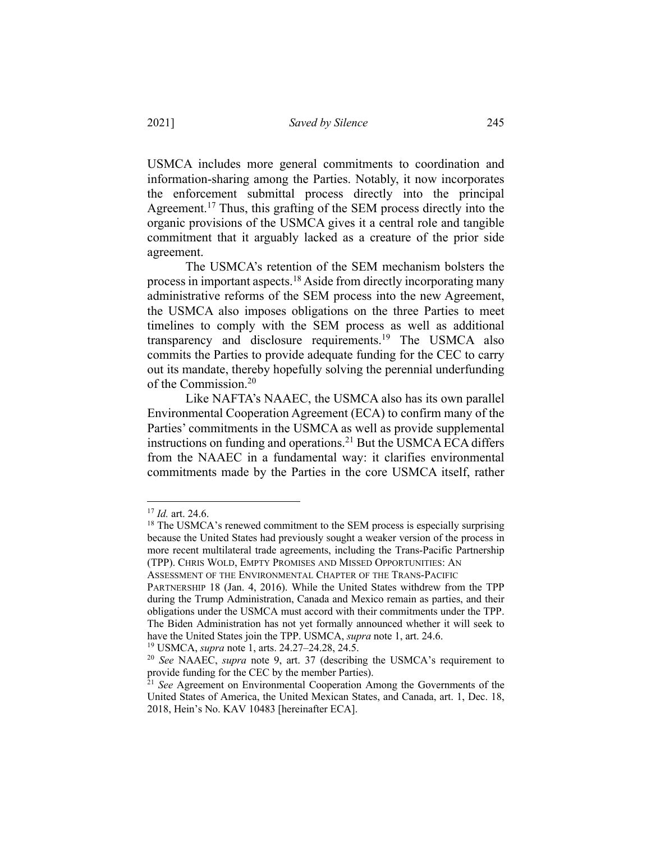USMCA includes more general commitments to coordination and information-sharing among the Parties. Notably, it now incorporates the enforcement submittal process directly into the principal Agreement.<sup>17</sup> Thus, this grafting of the SEM process directly into the organic provisions of the USMCA gives it a central role and tangible commitment that it arguably lacked as a creature of the prior side agreement.

The USMCA's retention of the SEM mechanism bolsters the process in important aspects.18 Aside from directly incorporating many administrative reforms of the SEM process into the new Agreement, the USMCA also imposes obligations on the three Parties to meet timelines to comply with the SEM process as well as additional transparency and disclosure requirements.19 The USMCA also commits the Parties to provide adequate funding for the CEC to carry out its mandate, thereby hopefully solving the perennial underfunding of the Commission.20

Like NAFTA's NAAEC, the USMCA also has its own parallel Environmental Cooperation Agreement (ECA) to confirm many of the Parties' commitments in the USMCA as well as provide supplemental instructions on funding and operations.<sup>21</sup> But the USMCA ECA differs from the NAAEC in a fundamental way: it clarifies environmental commitments made by the Parties in the core USMCA itself, rather

<sup>19</sup> USMCA, *supra* note 1, arts. 24.27–24.28, 24.5.

<sup>17</sup> *Id.* art. 24.6.

 $18$  The USMCA's renewed commitment to the SEM process is especially surprising because the United States had previously sought a weaker version of the process in more recent multilateral trade agreements, including the Trans-Pacific Partnership (TPP). CHRIS WOLD, EMPTY PROMISES AND MISSED OPPORTUNITIES: AN ASSESSMENT OF THE ENVIRONMENTAL CHAPTER OF THE TRANS-PACIFIC

PARTNERSHIP 18 (Jan. 4, 2016). While the United States withdrew from the TPP during the Trump Administration, Canada and Mexico remain as parties, and their obligations under the USMCA must accord with their commitments under the TPP. The Biden Administration has not yet formally announced whether it will seek to have the United States join the TPP. USMCA, *supra* note 1, art. 24.6.

<sup>&</sup>lt;sup>20</sup> *See* NAAEC, *supra* note 9, art. 37 (describing the USMCA's requirement to provide funding for the CEC by the member Parties).

<sup>&</sup>lt;sup>21</sup> *See* Agreement on Environmental Cooperation Among the Governments of the United States of America, the United Mexican States, and Canada, art. 1, Dec. 18, 2018, Hein's No. KAV 10483 [hereinafter ECA].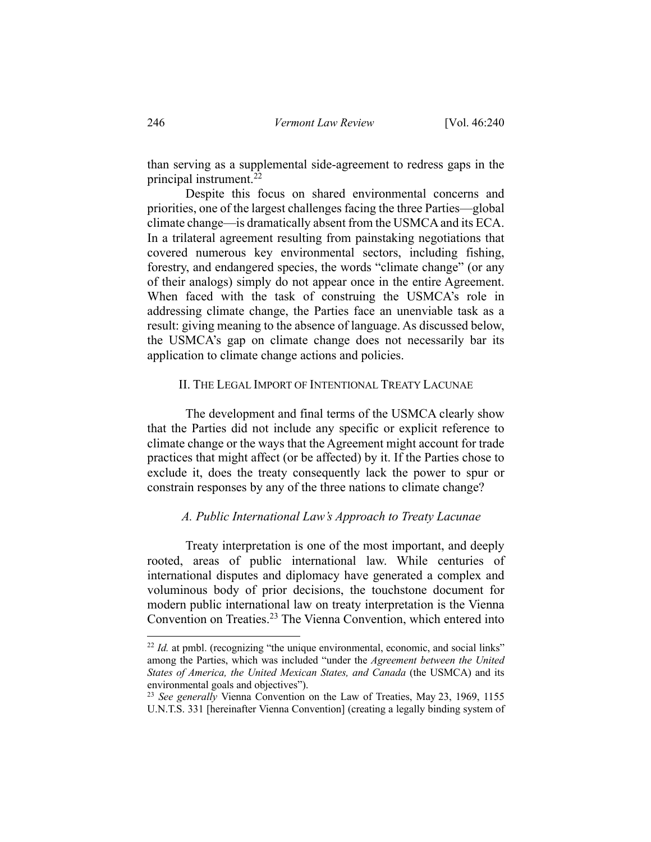than serving as a supplemental side-agreement to redress gaps in the principal instrument. $^{22}$ 

Despite this focus on shared environmental concerns and priorities, one of the largest challenges facing the three Parties—global climate change—is dramatically absent from the USMCA and its ECA. In a trilateral agreement resulting from painstaking negotiations that covered numerous key environmental sectors, including fishing, forestry, and endangered species, the words "climate change" (or any of their analogs) simply do not appear once in the entire Agreement. When faced with the task of construing the USMCA's role in addressing climate change, the Parties face an unenviable task as a result: giving meaning to the absence of language. As discussed below, the USMCA's gap on climate change does not necessarily bar its application to climate change actions and policies.

#### II. THE LEGAL IMPORT OF INTENTIONAL TREATY LACUNAE

The development and final terms of the USMCA clearly show that the Parties did not include any specific or explicit reference to climate change or the ways that the Agreement might account for trade practices that might affect (or be affected) by it. If the Parties chose to exclude it, does the treaty consequently lack the power to spur or constrain responses by any of the three nations to climate change?

### *A. Public International Law's Approach to Treaty Lacunae*

Treaty interpretation is one of the most important, and deeply rooted, areas of public international law. While centuries of international disputes and diplomacy have generated a complex and voluminous body of prior decisions, the touchstone document for modern public international law on treaty interpretation is the Vienna Convention on Treaties.<sup>23</sup> The Vienna Convention, which entered into

 $22$  *Id.* at pmbl. (recognizing "the unique environmental, economic, and social links" among the Parties, which was included "under the *Agreement between the United States of America, the United Mexican States, and Canada* (the USMCA) and its environmental goals and objectives").

<sup>23</sup> *See generally* Vienna Convention on the Law of Treaties, May 23, 1969, 1155 U.N.T.S. 331 [hereinafter Vienna Convention] (creating a legally binding system of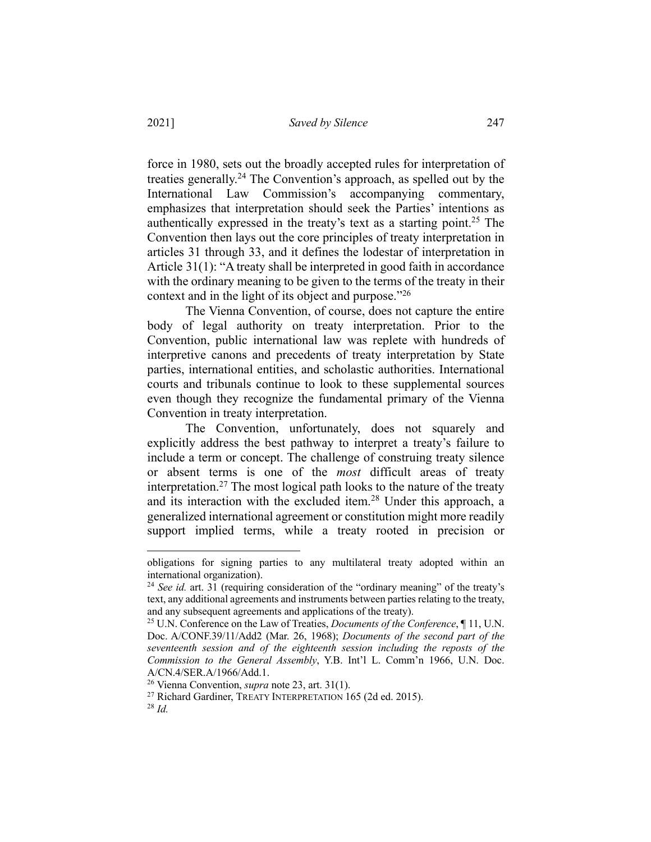force in 1980, sets out the broadly accepted rules for interpretation of treaties generally.24 The Convention's approach, as spelled out by the International Law Commission's accompanying commentary, emphasizes that interpretation should seek the Parties' intentions as authentically expressed in the treaty's text as a starting point.<sup>25</sup> The Convention then lays out the core principles of treaty interpretation in articles 31 through 33, and it defines the lodestar of interpretation in Article 31(1): "A treaty shall be interpreted in good faith in accordance with the ordinary meaning to be given to the terms of the treaty in their context and in the light of its object and purpose."<sup>26</sup>

The Vienna Convention, of course, does not capture the entire body of legal authority on treaty interpretation. Prior to the Convention, public international law was replete with hundreds of interpretive canons and precedents of treaty interpretation by State parties, international entities, and scholastic authorities. International courts and tribunals continue to look to these supplemental sources even though they recognize the fundamental primary of the Vienna Convention in treaty interpretation.

The Convention, unfortunately, does not squarely and explicitly address the best pathway to interpret a treaty's failure to include a term or concept. The challenge of construing treaty silence or absent terms is one of the *most* difficult areas of treaty interpretation.<sup>27</sup> The most logical path looks to the nature of the treaty and its interaction with the excluded item.<sup>28</sup> Under this approach, a generalized international agreement or constitution might more readily support implied terms, while a treaty rooted in precision or

obligations for signing parties to any multilateral treaty adopted within an international organization). 24 *See id.* art. 31 (requiring consideration of the "ordinary meaning" of the treaty's

text, any additional agreements and instruments between parties relating to the treaty, and any subsequent agreements and applications of the treaty).

<sup>25</sup> U.N. Conference on the Law of Treaties, *Documents of the Conference*, ¶ 11, U.N. Doc. A/CONF.39/11/Add2 (Mar. 26, 1968); *Documents of the second part of the seventeenth session and of the eighteenth session including the reposts of the Commission to the General Assembly*, Y.B. Int'l L. Comm'n 1966, U.N. Doc. A/CN.4/SER.A/1966/Add.1.

<sup>26</sup> Vienna Convention, *supra* note 23, art. 31(1).

<sup>&</sup>lt;sup>27</sup> Richard Gardiner, TREATY INTERPRETATION 165 (2d ed. 2015). <sup>28</sup> *Id.*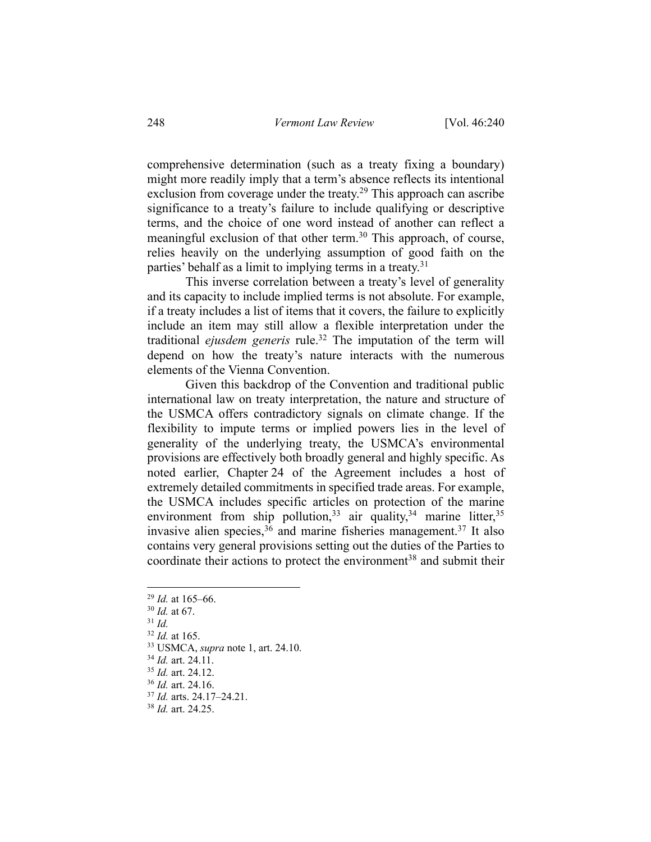comprehensive determination (such as a treaty fixing a boundary) might more readily imply that a term's absence reflects its intentional exclusion from coverage under the treaty.<sup>29</sup> This approach can ascribe significance to a treaty's failure to include qualifying or descriptive terms, and the choice of one word instead of another can reflect a meaningful exclusion of that other term.<sup>30</sup> This approach, of course, relies heavily on the underlying assumption of good faith on the parties' behalf as a limit to implying terms in a treaty.<sup>31</sup>

This inverse correlation between a treaty's level of generality and its capacity to include implied terms is not absolute. For example, if a treaty includes a list of items that it covers, the failure to explicitly include an item may still allow a flexible interpretation under the traditional *ejusdem generis* rule.32 The imputation of the term will depend on how the treaty's nature interacts with the numerous elements of the Vienna Convention.

Given this backdrop of the Convention and traditional public international law on treaty interpretation, the nature and structure of the USMCA offers contradictory signals on climate change. If the flexibility to impute terms or implied powers lies in the level of generality of the underlying treaty, the USMCA's environmental provisions are effectively both broadly general and highly specific. As noted earlier, Chapter 24 of the Agreement includes a host of extremely detailed commitments in specified trade areas. For example, the USMCA includes specific articles on protection of the marine environment from ship pollution,<sup>33</sup> air quality,<sup>34</sup> marine litter,<sup>35</sup> invasive alien species,  $36$  and marine fisheries management.<sup>37</sup> It also contains very general provisions setting out the duties of the Parties to coordinate their actions to protect the environment<sup>38</sup> and submit their

<sup>32</sup> *Id.* at 165.

<sup>34</sup> *Id.* art. 24.11.

<sup>36</sup> *Id.* art. 24.16.

<sup>29</sup> *Id.* at 165–66.

<sup>30</sup> *Id.* at 67.

<sup>31</sup> *Id.*

<sup>33</sup> USMCA, *supra* note 1, art. 24.10.

<sup>35</sup> *Id.* art. 24.12.

<sup>37</sup> *Id.* arts. 24.17–24.21.

<sup>38</sup> *Id.* art. 24.25.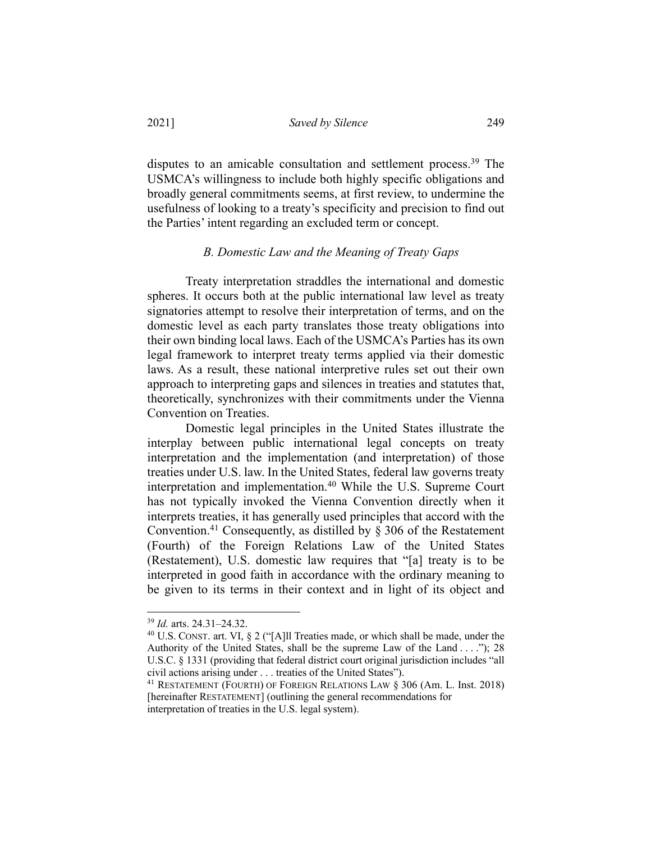disputes to an amicable consultation and settlement process.<sup>39</sup> The USMCA's willingness to include both highly specific obligations and broadly general commitments seems, at first review, to undermine the usefulness of looking to a treaty's specificity and precision to find out the Parties' intent regarding an excluded term or concept.

### *B. Domestic Law and the Meaning of Treaty Gaps*

Treaty interpretation straddles the international and domestic spheres. It occurs both at the public international law level as treaty signatories attempt to resolve their interpretation of terms, and on the domestic level as each party translates those treaty obligations into their own binding local laws. Each of the USMCA's Parties has its own legal framework to interpret treaty terms applied via their domestic laws. As a result, these national interpretive rules set out their own approach to interpreting gaps and silences in treaties and statutes that, theoretically, synchronizes with their commitments under the Vienna Convention on Treaties.

Domestic legal principles in the United States illustrate the interplay between public international legal concepts on treaty interpretation and the implementation (and interpretation) of those treaties under U.S. law. In the United States, federal law governs treaty interpretation and implementation.<sup>40</sup> While the U.S. Supreme Court has not typically invoked the Vienna Convention directly when it interprets treaties, it has generally used principles that accord with the Convention.<sup>41</sup> Consequently, as distilled by  $\S$  306 of the Restatement (Fourth) of the Foreign Relations Law of the United States (Restatement), U.S. domestic law requires that "[a] treaty is to be interpreted in good faith in accordance with the ordinary meaning to be given to its terms in their context and in light of its object and

<sup>39</sup> *Id.* arts. 24.31–24.32.

<sup>40</sup> U.S. CONST. art. VI, § 2 ("[A]ll Treaties made, or which shall be made, under the Authority of the United States, shall be the supreme Law of the Land . . . ."); 28 U.S.C. § 1331 (providing that federal district court original jurisdiction includes "all civil actions arising under . . . treaties of the United States").

<sup>41</sup> RESTATEMENT (FOURTH) OF FOREIGN RELATIONS LAW § 306 (Am. L. Inst. 2018) [hereinafter RESTATEMENT] (outlining the general recommendations for interpretation of treaties in the U.S. legal system).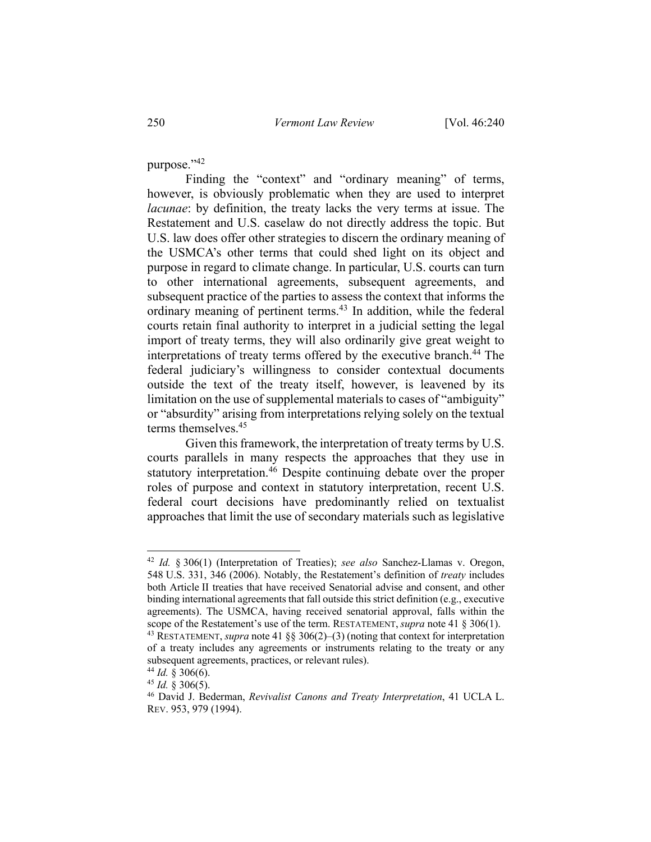purpose."42

Finding the "context" and "ordinary meaning" of terms, however, is obviously problematic when they are used to interpret *lacunae*: by definition, the treaty lacks the very terms at issue. The Restatement and U.S. caselaw do not directly address the topic. But U.S. law does offer other strategies to discern the ordinary meaning of the USMCA's other terms that could shed light on its object and purpose in regard to climate change. In particular, U.S. courts can turn to other international agreements, subsequent agreements, and subsequent practice of the parties to assess the context that informs the ordinary meaning of pertinent terms.<sup>43</sup> In addition, while the federal courts retain final authority to interpret in a judicial setting the legal import of treaty terms, they will also ordinarily give great weight to interpretations of treaty terms offered by the executive branch.<sup>44</sup> The federal judiciary's willingness to consider contextual documents outside the text of the treaty itself, however, is leavened by its limitation on the use of supplemental materials to cases of "ambiguity" or "absurdity" arising from interpretations relying solely on the textual terms themselves.<sup>45</sup>

Given this framework, the interpretation of treaty terms by U.S. courts parallels in many respects the approaches that they use in statutory interpretation.<sup>46</sup> Despite continuing debate over the proper roles of purpose and context in statutory interpretation, recent U.S. federal court decisions have predominantly relied on textualist approaches that limit the use of secondary materials such as legislative

<sup>42</sup> *Id.* § 306(1) (Interpretation of Treaties); *see also* Sanchez-Llamas v. Oregon, 548 U.S. 331, 346 (2006). Notably, the Restatement's definition of *treaty* includes both Article II treaties that have received Senatorial advise and consent, and other binding international agreements that fall outside this strict definition (e.g., executive agreements). The USMCA, having received senatorial approval, falls within the scope of the Restatement's use of the term. RESTATEMENT, *supra* note 41 § 306(1). <sup>43</sup> RESTATEMENT, *supra* note 41 §§ 306(2)–(3) (noting that context for interpretation of a treaty includes any agreements or instruments relating to the treaty or any

subsequent agreements, practices, or relevant rules).

<sup>&</sup>lt;sup>44</sup> *Id.* § 306(6).<br><sup>45</sup> *Id.* § 306(5).

<sup>&</sup>lt;sup>46</sup> David J. Bederman, *Revivalist Canons and Treaty Interpretation*, 41 UCLA L. REV. 953, 979 (1994).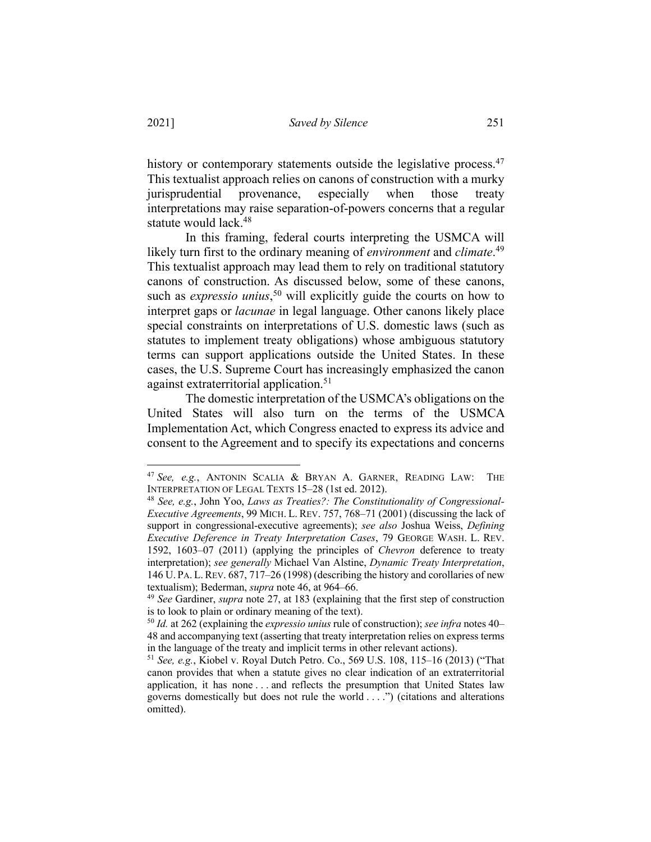history or contemporary statements outside the legislative process.<sup>47</sup> This textualist approach relies on canons of construction with a murky jurisprudential provenance, especially when those treaty interpretations may raise separation-of-powers concerns that a regular statute would lack.<sup>48</sup>

In this framing, federal courts interpreting the USMCA will likely turn first to the ordinary meaning of *environment* and *climate*. 49 This textualist approach may lead them to rely on traditional statutory canons of construction. As discussed below, some of these canons, such as *expressio unius*, <sup>50</sup> will explicitly guide the courts on how to interpret gaps or *lacunae* in legal language. Other canons likely place special constraints on interpretations of U.S. domestic laws (such as statutes to implement treaty obligations) whose ambiguous statutory terms can support applications outside the United States. In these cases, the U.S. Supreme Court has increasingly emphasized the canon against extraterritorial application.<sup>51</sup>

The domestic interpretation of the USMCA's obligations on the United States will also turn on the terms of the USMCA Implementation Act, which Congress enacted to express its advice and consent to the Agreement and to specify its expectations and concerns

<sup>47</sup> *See, e.g.*, ANTONIN SCALIA & BRYAN A. GARNER, READING LAW: THE INTERPRETATION OF LEGAL TEXTS 15–28 (1st ed. 2012).

<sup>48</sup> *See, e.g.*, John Yoo, *Laws as Treaties?: The Constitutionality of Congressional-Executive Agreements*, 99 MICH. L. REV. 757, 768–71 (2001) (discussing the lack of support in congressional-executive agreements); *see also* Joshua Weiss, *Defining Executive Deference in Treaty Interpretation Cases*, 79 GEORGE WASH. L. REV. 1592, 1603–07 (2011) (applying the principles of *Chevron* deference to treaty interpretation); *see generally* Michael Van Alstine, *Dynamic Treaty Interpretation*, 146 U. PA. L.REV. 687, 717–26 (1998) (describing the history and corollaries of new textualism); Bederman, *supra* note 46, at 964–66.

<sup>49</sup> *See* Gardiner, *supra* note 27, at 183 (explaining that the first step of construction is to look to plain or ordinary meaning of the text).

<sup>50</sup> *Id.* at 262 (explaining the *expressio unius* rule of construction); *see infra* notes 40– 48 and accompanying text (asserting that treaty interpretation relies on express terms in the language of the treaty and implicit terms in other relevant actions).

<sup>51</sup> *See, e.g.*, Kiobel v. Royal Dutch Petro. Co., 569 U.S. 108, 115–16 (2013) ("That canon provides that when a statute gives no clear indication of an extraterritorial application, it has none . . . and reflects the presumption that United States law governs domestically but does not rule the world . . . .") (citations and alterations omitted).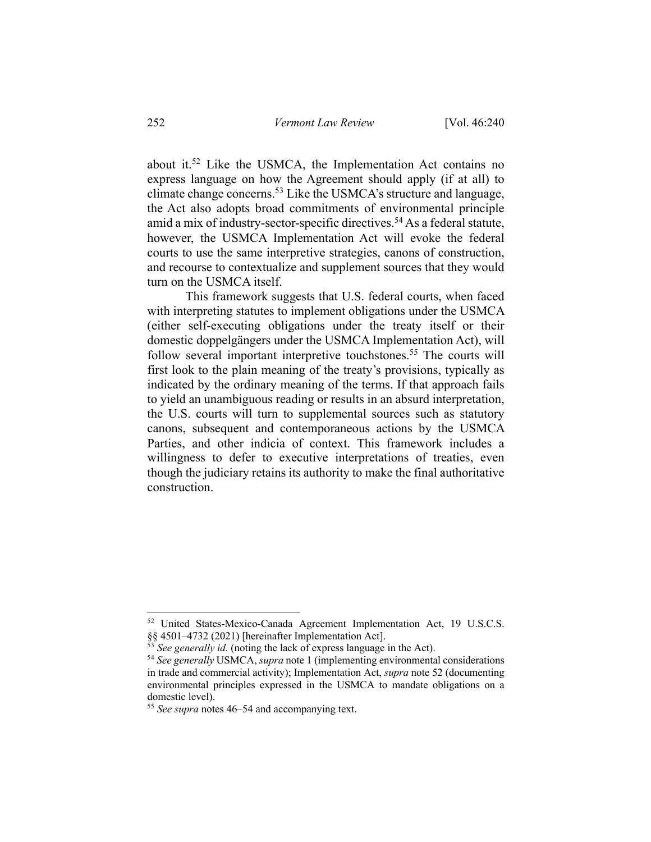about it.<sup>52</sup> Like the USMCA, the Implementation Act contains no express language on how the Agreement should apply (if at all) to climate change concerns.53 Like the USMCA's structure and language, the Act also adopts broad commitments of environmental principle amid a mix of industry-sector-specific directives.<sup>54</sup> As a federal statute, however, the USMCA Implementation Act will evoke the federal courts to use the same interpretive strategies, canons of construction, and recourse to contextualize and supplement sources that they would turn on the USMCA itself.

This framework suggests that U.S. federal courts, when faced with interpreting statutes to implement obligations under the USMCA (either self-executing obligations under the treaty itself or their domestic doppelgängers under the USMCA Implementation Act), will follow several important interpretive touchstones.<sup>55</sup> The courts will first look to the plain meaning of the treaty's provisions, typically as indicated by the ordinary meaning of the terms. If that approach fails to yield an unambiguous reading or results in an absurd interpretation, the U.S. courts will turn to supplemental sources such as statutory canons, subsequent and contemporaneous actions by the USMCA Parties, and other indicia of context. This framework includes a willingness to defer to executive interpretations of treaties, even though the judiciary retains its authority to make the final authoritative construction.

<sup>52</sup> United States-Mexico-Canada Agreement Implementation Act, 19 U.S.C.S. §§ 4501–4732 (2021) [hereinafter Implementation Act].

 $\delta$ <sup>5</sup> *See generally id.* (noting the lack of express language in the Act).

<sup>54</sup> *See generally* USMCA, *supra* note 1 (implementing environmental considerations in trade and commercial activity); Implementation Act, *supra* note 52 (documenting environmental principles expressed in the USMCA to mandate obligations on a domestic level).

<sup>55</sup> *See supra* notes 46–54 and accompanying text.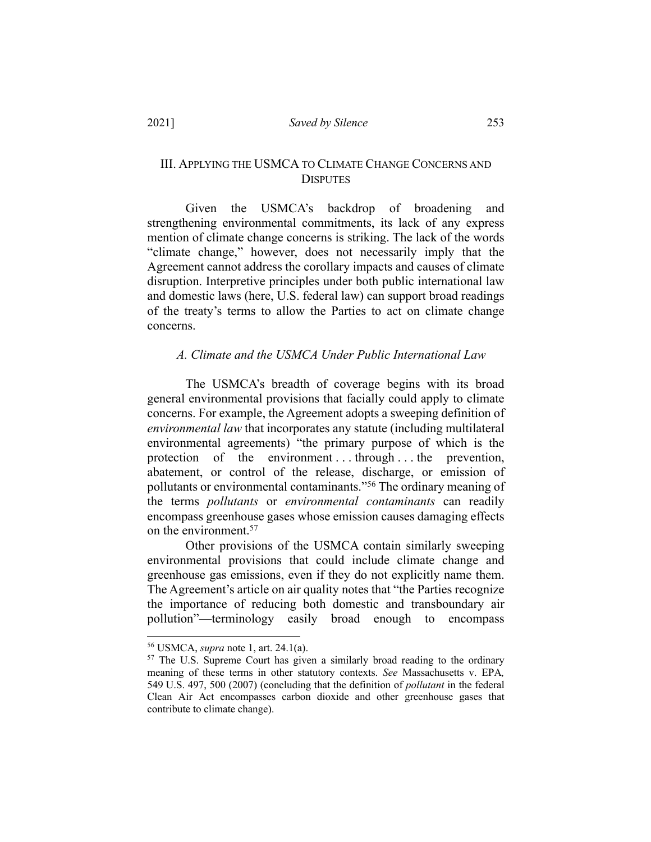### III. APPLYING THE USMCA TO CLIMATE CHANGE CONCERNS AND **DISPUTES**

Given the USMCA's backdrop of broadening and strengthening environmental commitments, its lack of any express mention of climate change concerns is striking. The lack of the words "climate change," however, does not necessarily imply that the Agreement cannot address the corollary impacts and causes of climate disruption. Interpretive principles under both public international law and domestic laws (here, U.S. federal law) can support broad readings of the treaty's terms to allow the Parties to act on climate change concerns.

#### *A. Climate and the USMCA Under Public International Law*

The USMCA's breadth of coverage begins with its broad general environmental provisions that facially could apply to climate concerns. For example, the Agreement adopts a sweeping definition of *environmental law* that incorporates any statute (including multilateral environmental agreements) "the primary purpose of which is the protection of the environment . . . through . . . the prevention, abatement, or control of the release, discharge, or emission of pollutants or environmental contaminants."56 The ordinary meaning of the terms *pollutants* or *environmental contaminants* can readily encompass greenhouse gases whose emission causes damaging effects on the environment.<sup>57</sup>

Other provisions of the USMCA contain similarly sweeping environmental provisions that could include climate change and greenhouse gas emissions, even if they do not explicitly name them. The Agreement's article on air quality notes that "the Parties recognize the importance of reducing both domestic and transboundary air pollution"—terminology easily broad enough to encompass

<sup>56</sup> USMCA, *supra* note 1, art. 24.1(a).

<sup>&</sup>lt;sup>57</sup> The U.S. Supreme Court has given a similarly broad reading to the ordinary meaning of these terms in other statutory contexts. *See* Massachusetts v. EPA*,*  549 U.S. 497, 500 (2007) (concluding that the definition of *pollutant* in the federal Clean Air Act encompasses carbon dioxide and other greenhouse gases that contribute to climate change).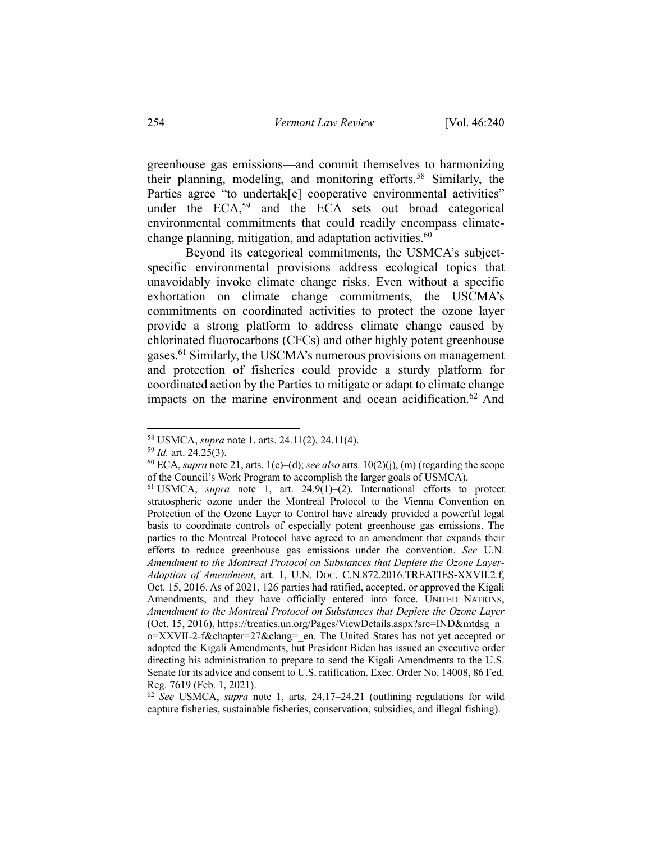greenhouse gas emissions—and commit themselves to harmonizing their planning, modeling, and monitoring efforts.58 Similarly, the Parties agree "to undertak[e] cooperative environmental activities" under the  $ECA$ ,<sup>59</sup> and the ECA sets out broad categorical environmental commitments that could readily encompass climatechange planning, mitigation, and adaptation activities.  $60$ 

Beyond its categorical commitments, the USMCA's subjectspecific environmental provisions address ecological topics that unavoidably invoke climate change risks. Even without a specific exhortation on climate change commitments, the USCMA's commitments on coordinated activities to protect the ozone layer provide a strong platform to address climate change caused by chlorinated fluorocarbons (CFCs) and other highly potent greenhouse gases.61 Similarly, the USCMA's numerous provisions on management and protection of fisheries could provide a sturdy platform for coordinated action by the Parties to mitigate or adapt to climate change impacts on the marine environment and ocean acidification.<sup>62</sup> And

<sup>58</sup> USMCA, *supra* note 1, arts. 24.11(2), 24.11(4).

<sup>59</sup> *Id.* art. 24.25(3).

 $60$  ECA, *supra* note 21, arts. 1(c)–(d); *see also* arts. 10(2)(j), (m) (regarding the scope of the Council's Work Program to accomplish the larger goals of USMCA).

<sup>61</sup> USMCA, *supra* note 1, art. 24.9(1)–(2). International efforts to protect stratospheric ozone under the Montreal Protocol to the Vienna Convention on Protection of the Ozone Layer to Control have already provided a powerful legal basis to coordinate controls of especially potent greenhouse gas emissions. The parties to the Montreal Protocol have agreed to an amendment that expands their efforts to reduce greenhouse gas emissions under the convention. *See* U.N. *Amendment to the Montreal Protocol on Substances that Deplete the Ozone Layer-Adoption of Amendment*, art. 1, U.N. DOC. C.N.872.2016.TREATIES-XXVII.2.f, Oct. 15, 2016. As of 2021, 126 parties had ratified, accepted, or approved the Kigali Amendments, and they have officially entered into force. UNITED NATIONS, *Amendment to the Montreal Protocol on Substances that Deplete the Ozone Layer* (Oct. 15, 2016), https://treaties.un.org/Pages/ViewDetails.aspx?src=IND&mtdsg\_n o=XXVII-2-f&chapter=27&clang=\_en. The United States has not yet accepted or adopted the Kigali Amendments, but President Biden has issued an executive order directing his administration to prepare to send the Kigali Amendments to the U.S. Senate for its advice and consent to U.S. ratification. Exec. Order No. 14008, 86 Fed. Reg. 7619 (Feb. 1, 2021).

<sup>62</sup> *See* USMCA, *supra* note 1, arts. 24.17–24.21 (outlining regulations for wild capture fisheries, sustainable fisheries, conservation, subsidies, and illegal fishing).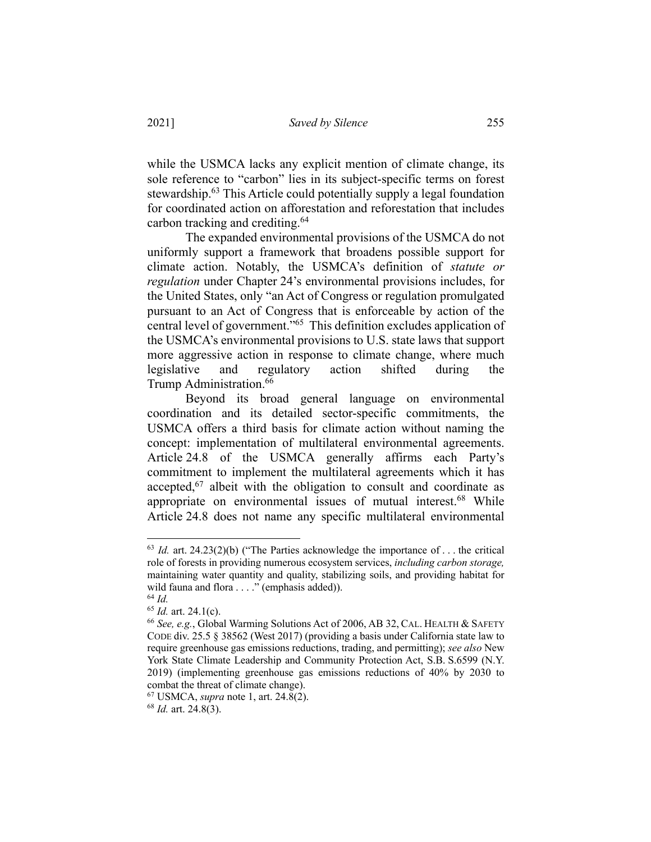while the USMCA lacks any explicit mention of climate change, its sole reference to "carbon" lies in its subject-specific terms on forest stewardship.<sup>63</sup> This Article could potentially supply a legal foundation for coordinated action on afforestation and reforestation that includes carbon tracking and crediting.64

The expanded environmental provisions of the USMCA do not uniformly support a framework that broadens possible support for climate action. Notably, the USMCA's definition of *statute or regulation* under Chapter 24's environmental provisions includes, for the United States, only "an Act of Congress or regulation promulgated pursuant to an Act of Congress that is enforceable by action of the central level of government."65 This definition excludes application of the USMCA's environmental provisions to U.S. state laws that support more aggressive action in response to climate change, where much legislative and regulatory action shifted during the Trump Administration.<sup>66</sup>

Beyond its broad general language on environmental coordination and its detailed sector-specific commitments, the USMCA offers a third basis for climate action without naming the concept: implementation of multilateral environmental agreements. Article 24.8 of the USMCA generally affirms each Party's commitment to implement the multilateral agreements which it has accepted,<sup>67</sup> albeit with the obligation to consult and coordinate as appropriate on environmental issues of mutual interest.<sup>68</sup> While Article 24.8 does not name any specific multilateral environmental

 $63$  *Id.* art. 24.23(2)(b) ("The Parties acknowledge the importance of ... the critical role of forests in providing numerous ecosystem services, *including carbon storage,* maintaining water quantity and quality, stabilizing soils, and providing habitat for wild fauna and flora . . . ." (emphasis added)).

<sup>64</sup> *Id.*

<sup>65</sup> *Id.* art. 24.1(c).

<sup>66</sup> *See, e.g.*, Global Warming Solutions Act of 2006, AB 32, CAL. HEALTH & SAFETY CODE div. 25.5 § 38562 (West 2017) (providing a basis under California state law to require greenhouse gas emissions reductions, trading, and permitting); *see also* New York State Climate Leadership and Community Protection Act, S.B. S.6599 (N.Y. 2019) (implementing greenhouse gas emissions reductions of 40% by 2030 to combat the threat of climate change).

<sup>67</sup> USMCA, *supra* note 1, art. 24.8(2).

<sup>68</sup> *Id.* art. 24.8(3).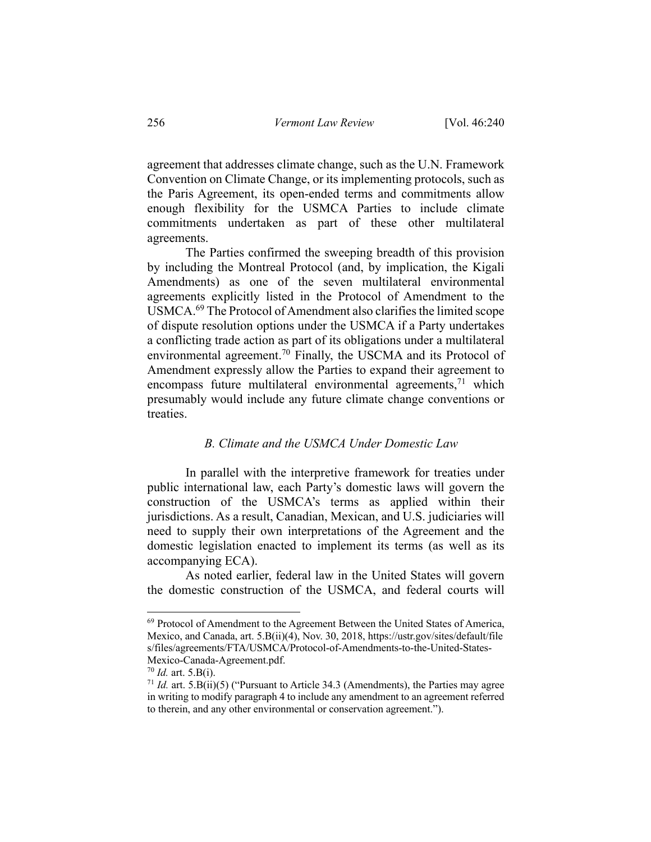agreement that addresses climate change, such as the U.N. Framework Convention on Climate Change, or its implementing protocols, such as the Paris Agreement, its open-ended terms and commitments allow enough flexibility for the USMCA Parties to include climate commitments undertaken as part of these other multilateral agreements.

The Parties confirmed the sweeping breadth of this provision by including the Montreal Protocol (and, by implication, the Kigali Amendments) as one of the seven multilateral environmental agreements explicitly listed in the Protocol of Amendment to the USMCA.69 The Protocol of Amendment also clarifies the limited scope of dispute resolution options under the USMCA if a Party undertakes a conflicting trade action as part of its obligations under a multilateral environmental agreement.<sup>70</sup> Finally, the USCMA and its Protocol of Amendment expressly allow the Parties to expand their agreement to encompass future multilateral environmental agreements,  $\frac{71}{1}$  which presumably would include any future climate change conventions or treaties.

#### *B. Climate and the USMCA Under Domestic Law*

In parallel with the interpretive framework for treaties under public international law, each Party's domestic laws will govern the construction of the USMCA's terms as applied within their jurisdictions. As a result, Canadian, Mexican, and U.S. judiciaries will need to supply their own interpretations of the Agreement and the domestic legislation enacted to implement its terms (as well as its accompanying ECA).

As noted earlier, federal law in the United States will govern the domestic construction of the USMCA, and federal courts will

<sup>&</sup>lt;sup>69</sup> Protocol of Amendment to the Agreement Between the United States of America, Mexico, and Canada, art. 5.B(ii)(4), Nov. 30, 2018, https://ustr.gov/sites/default/file s/files/agreements/FTA/USMCA/Protocol-of-Amendments-to-the-United-States-Mexico-Canada-Agreement.pdf.

<sup>70</sup> *Id.* art. 5.B(i).

<sup>71</sup> *Id.* art. 5.B(ii)(5) ("Pursuant to Article 34.3 (Amendments), the Parties may agree in writing to modify paragraph 4 to include any amendment to an agreement referred to therein, and any other environmental or conservation agreement.").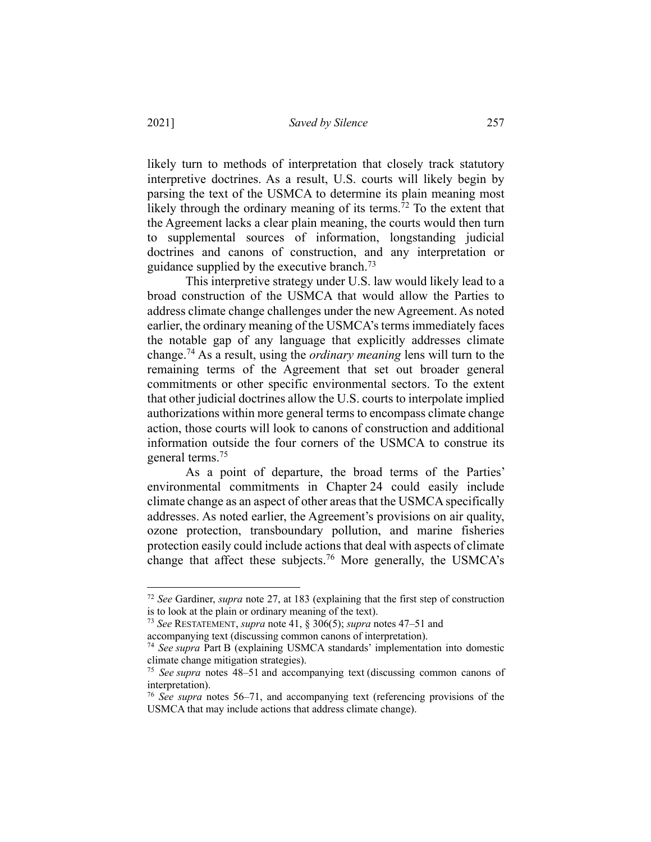likely turn to methods of interpretation that closely track statutory interpretive doctrines. As a result, U.S. courts will likely begin by parsing the text of the USMCA to determine its plain meaning most likely through the ordinary meaning of its terms.<sup> $72$ </sup> To the extent that the Agreement lacks a clear plain meaning, the courts would then turn to supplemental sources of information, longstanding judicial doctrines and canons of construction, and any interpretation or guidance supplied by the executive branch.<sup>73</sup>

This interpretive strategy under U.S. law would likely lead to a broad construction of the USMCA that would allow the Parties to address climate change challenges under the new Agreement. As noted earlier, the ordinary meaning of the USMCA's terms immediately faces the notable gap of any language that explicitly addresses climate change.74 As a result, using the *ordinary meaning* lens will turn to the remaining terms of the Agreement that set out broader general commitments or other specific environmental sectors. To the extent that other judicial doctrines allow the U.S. courts to interpolate implied authorizations within more general terms to encompass climate change action, those courts will look to canons of construction and additional information outside the four corners of the USMCA to construe its general terms.75

As a point of departure, the broad terms of the Parties' environmental commitments in Chapter 24 could easily include climate change as an aspect of other areas that the USMCA specifically addresses. As noted earlier, the Agreement's provisions on air quality, ozone protection, transboundary pollution, and marine fisheries protection easily could include actions that deal with aspects of climate change that affect these subjects.<sup>76</sup> More generally, the USMCA's

<sup>72</sup> *See* Gardiner, *supra* note 27, at 183 (explaining that the first step of construction is to look at the plain or ordinary meaning of the text).

<sup>73</sup> *See* RESTATEMENT, *supra* note 41, § 306(5); *supra* notes 47–51 and

accompanying text (discussing common canons of interpretation).

<sup>74</sup> *See supra* Part B (explaining USMCA standards' implementation into domestic climate change mitigation strategies).

<sup>75</sup> *See supra* notes 48–51 and accompanying text (discussing common canons of interpretation).

<sup>76</sup> *See supra* notes 56–71, and accompanying text (referencing provisions of the USMCA that may include actions that address climate change).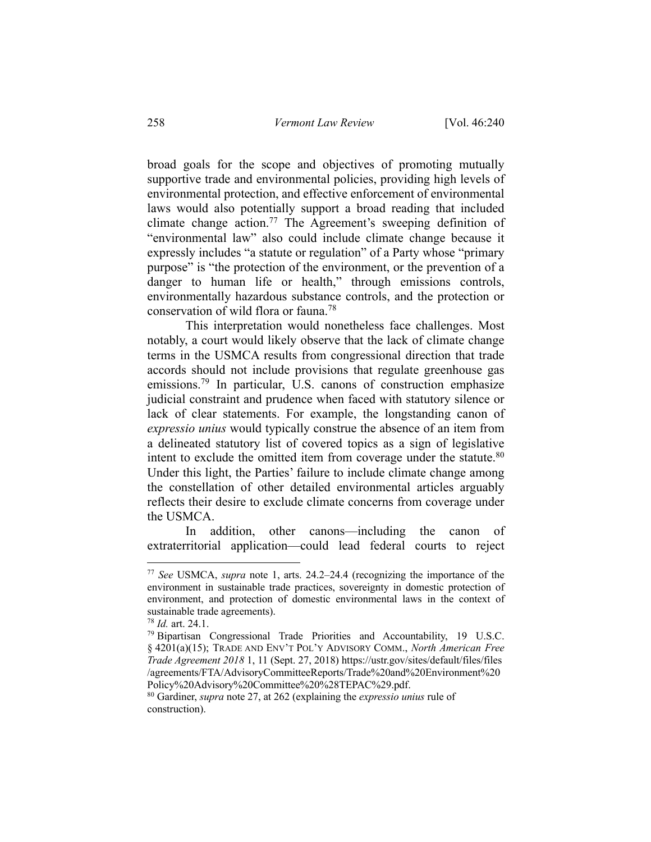broad goals for the scope and objectives of promoting mutually supportive trade and environmental policies, providing high levels of environmental protection, and effective enforcement of environmental laws would also potentially support a broad reading that included climate change action.<sup>77</sup> The Agreement's sweeping definition of "environmental law" also could include climate change because it expressly includes "a statute or regulation" of a Party whose "primary purpose" is "the protection of the environment, or the prevention of a danger to human life or health," through emissions controls, environmentally hazardous substance controls, and the protection or conservation of wild flora or fauna.78

This interpretation would nonetheless face challenges. Most notably, a court would likely observe that the lack of climate change terms in the USMCA results from congressional direction that trade accords should not include provisions that regulate greenhouse gas emissions.<sup>79</sup> In particular, U.S. canons of construction emphasize judicial constraint and prudence when faced with statutory silence or lack of clear statements. For example, the longstanding canon of *expressio unius* would typically construe the absence of an item from a delineated statutory list of covered topics as a sign of legislative intent to exclude the omitted item from coverage under the statute. $80$ Under this light, the Parties' failure to include climate change among the constellation of other detailed environmental articles arguably reflects their desire to exclude climate concerns from coverage under the USMCA.

In addition, other canons—including the canon of extraterritorial application—could lead federal courts to reject

<sup>77</sup> *See* USMCA, *supra* note 1, arts. 24.2–24.4 (recognizing the importance of the environment in sustainable trade practices, sovereignty in domestic protection of environment, and protection of domestic environmental laws in the context of sustainable trade agreements).

<sup>78</sup> *Id.* art. 24.1.

<sup>79</sup> Bipartisan Congressional Trade Priorities and Accountability, 19 U.S.C. § 4201(a)(15); TRADE AND ENV'T POL'Y ADVISORY COMM., *North American Free Trade Agreement 2018* 1, 11 (Sept. 27, 2018) https://ustr.gov/sites/default/files/files /agreements/FTA/AdvisoryCommitteeReports/Trade%20and%20Environment%20 Policy%20Advisory%20Committee%20%28TEPAC%29.pdf.

<sup>80</sup> Gardiner, *supra* note 27, at 262 (explaining the *expressio unius* rule of construction).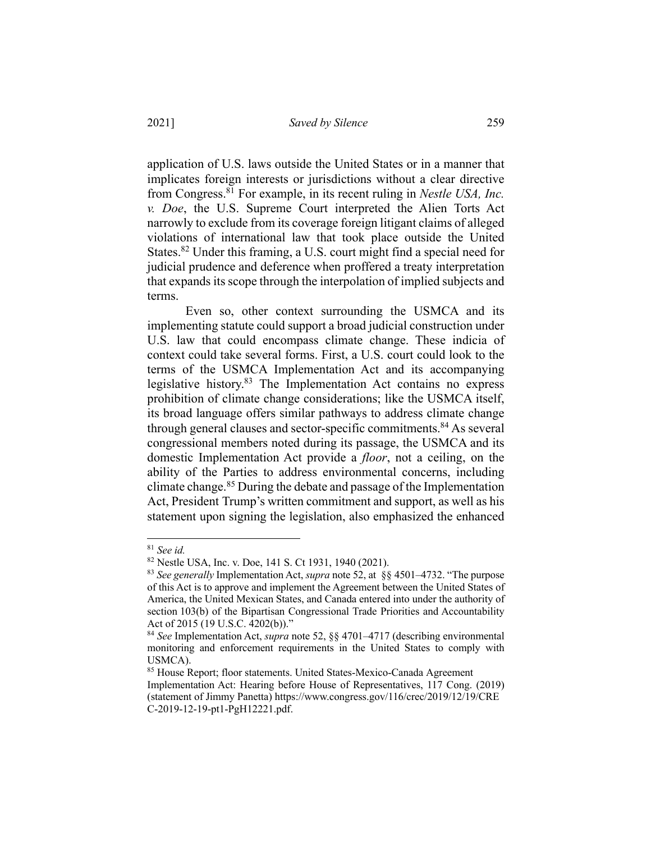application of U.S. laws outside the United States or in a manner that implicates foreign interests or jurisdictions without a clear directive from Congress.81 For example, in its recent ruling in *Nestle USA, Inc. v. Doe*, the U.S. Supreme Court interpreted the Alien Torts Act narrowly to exclude from its coverage foreign litigant claims of alleged violations of international law that took place outside the United States.<sup>82</sup> Under this framing, a U.S. court might find a special need for judicial prudence and deference when proffered a treaty interpretation that expands its scope through the interpolation of implied subjects and terms.

Even so, other context surrounding the USMCA and its implementing statute could support a broad judicial construction under U.S. law that could encompass climate change. These indicia of context could take several forms. First, a U.S. court could look to the terms of the USMCA Implementation Act and its accompanying legislative history. $83$  The Implementation Act contains no express prohibition of climate change considerations; like the USMCA itself, its broad language offers similar pathways to address climate change through general clauses and sector-specific commitments.<sup>84</sup> As several congressional members noted during its passage, the USMCA and its domestic Implementation Act provide a *floor*, not a ceiling, on the ability of the Parties to address environmental concerns, including climate change.<sup>85</sup> During the debate and passage of the Implementation Act, President Trump's written commitment and support, as well as his statement upon signing the legislation, also emphasized the enhanced

<sup>&</sup>lt;sup>81</sup> *See id.*<br><sup>82</sup> Nestle USA, Inc. v. Doe, 141 S. Ct 1931, 1940 (2021).

<sup>&</sup>lt;sup>83</sup> See generally Implementation Act, *supra* note 52, at §§ 4501–4732. "The purpose of this Act is to approve and implement the Agreement between the United States of America, the United Mexican States, and Canada entered into under the authority of section 103(b) of the Bipartisan Congressional Trade Priorities and Accountability Act of 2015 (19 U.S.C. 4202(b))."

<sup>84</sup> *See* Implementation Act, *supra* note 52, §§ 4701–4717 (describing environmental monitoring and enforcement requirements in the United States to comply with USMCA).

<sup>&</sup>lt;sup>85</sup> House Report; floor statements. United States-Mexico-Canada Agreement Implementation Act: Hearing before House of Representatives, 117 Cong. (2019) (statement of Jimmy Panetta) https://www.congress.gov/116/crec/2019/12/19/CRE C-2019-12-19-pt1-PgH12221.pdf.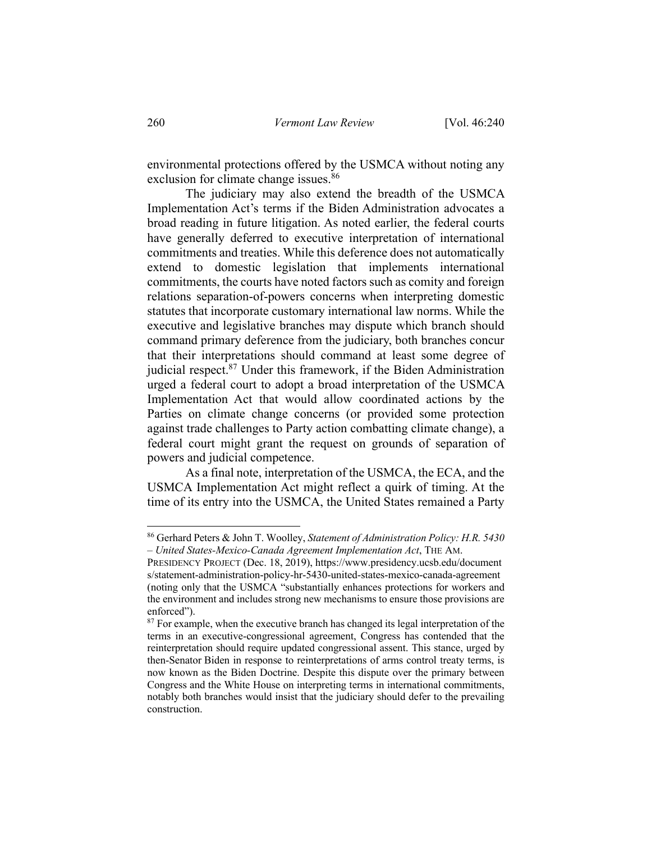environmental protections offered by the USMCA without noting any exclusion for climate change issues.<sup>86</sup>

The judiciary may also extend the breadth of the USMCA Implementation Act's terms if the Biden Administration advocates a broad reading in future litigation. As noted earlier, the federal courts have generally deferred to executive interpretation of international commitments and treaties. While this deference does not automatically extend to domestic legislation that implements international commitments, the courts have noted factors such as comity and foreign relations separation-of-powers concerns when interpreting domestic statutes that incorporate customary international law norms. While the executive and legislative branches may dispute which branch should command primary deference from the judiciary, both branches concur that their interpretations should command at least some degree of judicial respect.87 Under this framework, if the Biden Administration urged a federal court to adopt a broad interpretation of the USMCA Implementation Act that would allow coordinated actions by the Parties on climate change concerns (or provided some protection against trade challenges to Party action combatting climate change), a federal court might grant the request on grounds of separation of powers and judicial competence.

As a final note, interpretation of the USMCA, the ECA, and the USMCA Implementation Act might reflect a quirk of timing. At the time of its entry into the USMCA, the United States remained a Party

<sup>86</sup> Gerhard Peters & John T. Woolley, *Statement of Administration Policy: H.R. 5430 – United States-Mexico-Canada Agreement Implementation Act*, THE AM.

PRESIDENCY PROJECT (Dec. 18, 2019), https://www.presidency.ucsb.edu/document s/statement-administration-policy-hr-5430-united-states-mexico-canada-agreement (noting only that the USMCA "substantially enhances protections for workers and the environment and includes strong new mechanisms to ensure those provisions are enforced").

 $87$  For example, when the executive branch has changed its legal interpretation of the terms in an executive-congressional agreement, Congress has contended that the reinterpretation should require updated congressional assent. This stance, urged by then-Senator Biden in response to reinterpretations of arms control treaty terms, is now known as the Biden Doctrine. Despite this dispute over the primary between Congress and the White House on interpreting terms in international commitments, notably both branches would insist that the judiciary should defer to the prevailing construction.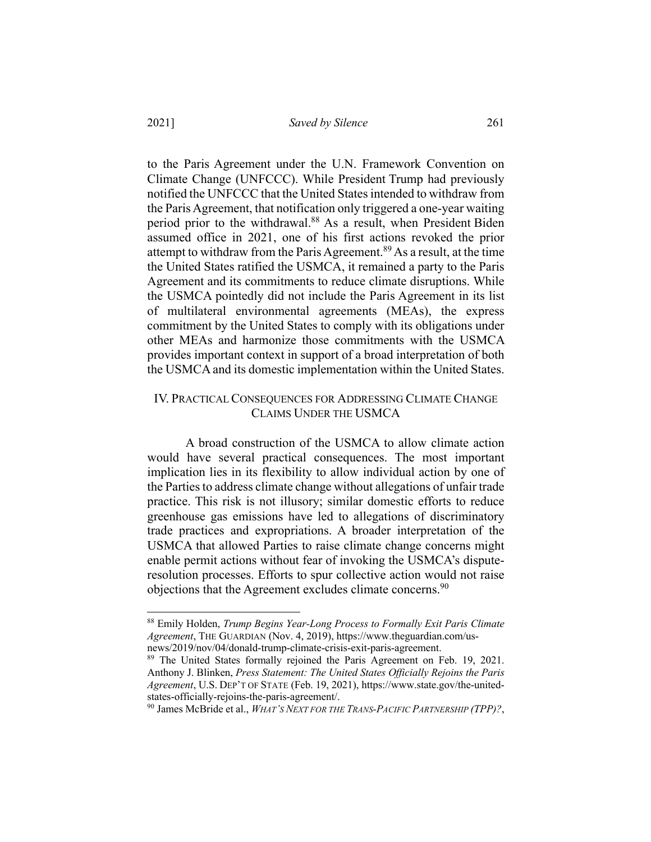to the Paris Agreement under the U.N. Framework Convention on Climate Change (UNFCCC). While President Trump had previously notified the UNFCCC that the United States intended to withdraw from the Paris Agreement, that notification only triggered a one-year waiting period prior to the withdrawal.<sup>88</sup> As a result, when President Biden assumed office in 2021, one of his first actions revoked the prior attempt to withdraw from the Paris Agreement.<sup>89</sup> As a result, at the time the United States ratified the USMCA, it remained a party to the Paris Agreement and its commitments to reduce climate disruptions. While the USMCA pointedly did not include the Paris Agreement in its list of multilateral environmental agreements (MEAs), the express commitment by the United States to comply with its obligations under other MEAs and harmonize those commitments with the USMCA provides important context in support of a broad interpretation of both the USMCA and its domestic implementation within the United States.

### IV. PRACTICAL CONSEQUENCES FOR ADDRESSING CLIMATE CHANGE CLAIMS UNDER THE USMCA

A broad construction of the USMCA to allow climate action would have several practical consequences. The most important implication lies in its flexibility to allow individual action by one of the Parties to address climate change without allegations of unfair trade practice. This risk is not illusory; similar domestic efforts to reduce greenhouse gas emissions have led to allegations of discriminatory trade practices and expropriations. A broader interpretation of the USMCA that allowed Parties to raise climate change concerns might enable permit actions without fear of invoking the USMCA's disputeresolution processes. Efforts to spur collective action would not raise objections that the Agreement excludes climate concerns.<sup>90</sup>

<sup>88</sup> Emily Holden, *Trump Begins Year-Long Process to Formally Exit Paris Climate Agreement*, THE GUARDIAN (Nov. 4, 2019), https://www.theguardian.com/usnews/2019/nov/04/donald-trump-climate-crisis-exit-paris-agreement.

<sup>&</sup>lt;sup>89</sup> The United States formally rejoined the Paris Agreement on Feb. 19, 2021. Anthony J. Blinken, *Press Statement: The United States Officially Rejoins the Paris Agreement*, U.S. DEP'T OF STATE (Feb. 19, 2021), https://www.state.gov/the-unitedstates-officially-rejoins-the-paris-agreement/.

<sup>90</sup> James McBride et al., *WHAT'S NEXT FOR THE TRANS-PACIFIC PARTNERSHIP (TPP)?*,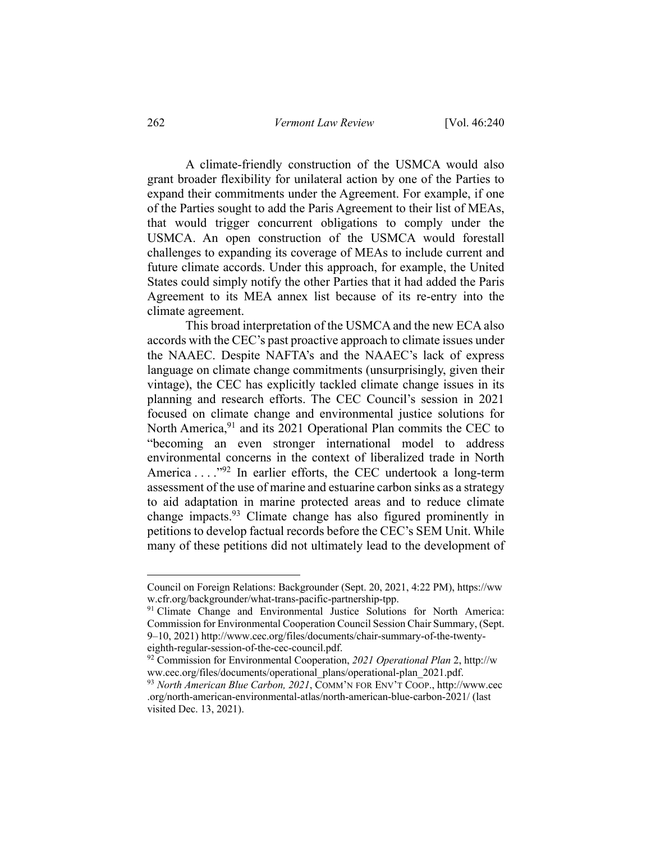A climate-friendly construction of the USMCA would also grant broader flexibility for unilateral action by one of the Parties to expand their commitments under the Agreement. For example, if one of the Parties sought to add the Paris Agreement to their list of MEAs, that would trigger concurrent obligations to comply under the USMCA. An open construction of the USMCA would forestall challenges to expanding its coverage of MEAs to include current and future climate accords. Under this approach, for example, the United States could simply notify the other Parties that it had added the Paris Agreement to its MEA annex list because of its re-entry into the climate agreement.

This broad interpretation of the USMCA and the new ECA also accords with the CEC's past proactive approach to climate issues under the NAAEC. Despite NAFTA's and the NAAEC's lack of express language on climate change commitments (unsurprisingly, given their vintage), the CEC has explicitly tackled climate change issues in its planning and research efforts. The CEC Council's session in 2021 focused on climate change and environmental justice solutions for North America,<sup>91</sup> and its 2021 Operational Plan commits the CEC to "becoming an even stronger international model to address environmental concerns in the context of liberalized trade in North America  $\dots$ <sup>92</sup>. In earlier efforts, the CEC undertook a long-term assessment of the use of marine and estuarine carbon sinks as a strategy to aid adaptation in marine protected areas and to reduce climate change impacts.93 Climate change has also figured prominently in petitions to develop factual records before the CEC's SEM Unit. While many of these petitions did not ultimately lead to the development of

Council on Foreign Relations: Backgrounder (Sept. 20, 2021, 4:22 PM), https://ww w.cfr.org/backgrounder/what-trans-pacific-partnership-tpp.

<sup>&</sup>lt;sup>91</sup> Climate Change and Environmental Justice Solutions for North America: Commission for Environmental Cooperation Council Session Chair Summary, (Sept. 9–10, 2021) http://www.cec.org/files/documents/chair-summary-of-the-twenty-

eighth-regular-session-of-the-cec-council.pdf.<br><sup>92</sup> Commission for Environmental Cooperation, *2021 Operational Plan* 2, http://w<br>ww.cec.org/files/documents/operational plans/operational-plan 2021.pdf.

<sup>&</sup>lt;sup>93</sup> North American Blue Carbon, 2021, COMM'N FOR ENV'T COOP., http://www.cec .org/north-american-environmental-atlas/north-american-blue-carbon-2021/ (last visited Dec. 13, 2021).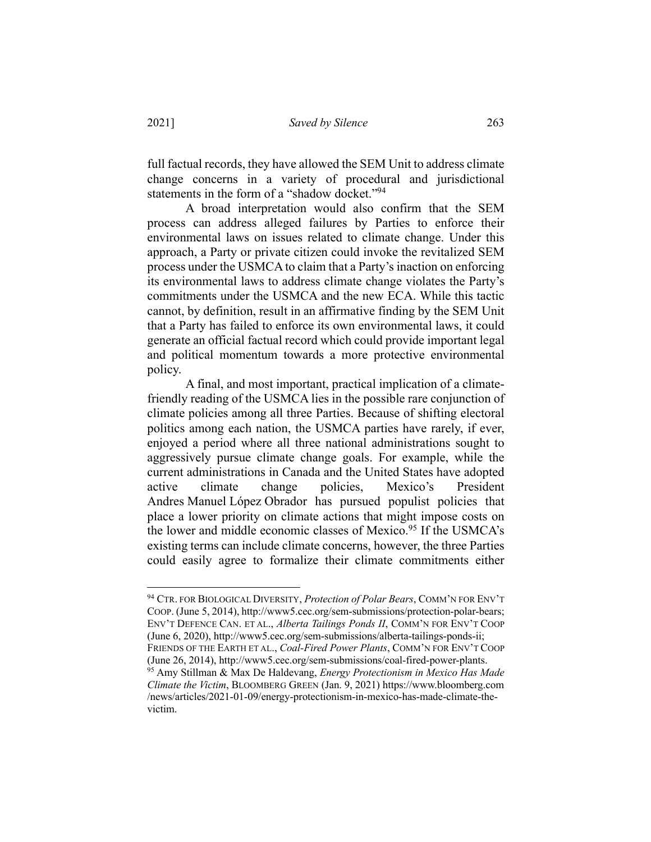full factual records, they have allowed the SEM Unit to address climate change concerns in a variety of procedural and jurisdictional statements in the form of a "shadow docket."<sup>94</sup>

A broad interpretation would also confirm that the SEM process can address alleged failures by Parties to enforce their environmental laws on issues related to climate change. Under this approach, a Party or private citizen could invoke the revitalized SEM process under the USMCA to claim that a Party's inaction on enforcing its environmental laws to address climate change violates the Party's commitments under the USMCA and the new ECA. While this tactic cannot, by definition, result in an affirmative finding by the SEM Unit that a Party has failed to enforce its own environmental laws, it could generate an official factual record which could provide important legal and political momentum towards a more protective environmental policy.

A final, and most important, practical implication of a climatefriendly reading of the USMCA lies in the possible rare conjunction of climate policies among all three Parties. Because of shifting electoral politics among each nation, the USMCA parties have rarely, if ever, enjoyed a period where all three national administrations sought to aggressively pursue climate change goals. For example, while the current administrations in Canada and the United States have adopted active climate change policies, Mexico's President Andres Manuel López Obrador has pursued populist policies that place a lower priority on climate actions that might impose costs on the lower and middle economic classes of Mexico.<sup>95</sup> If the USMCA's existing terms can include climate concerns, however, the three Parties could easily agree to formalize their climate commitments either

<sup>94</sup> CTR. FOR BIOLOGICAL DIVERSITY, *Protection of Polar Bears*, COMM'N FOR ENV'T COOP. (June 5, 2014), http://www5.cec.org/sem-submissions/protection-polar-bears; ENV'T DEFENCE CAN. ET AL., *Alberta Tailings Ponds II*, COMM'N FOR ENV'T COOP (June 6, 2020), http://www5.cec.org/sem-submissions/alberta-tailings-ponds-ii; FRIENDS OF THE EARTH ET AL., *Coal-Fired Power Plants*, COMM'N FOR ENV'T COOP (June 26, 2014), http://www5.cec.org/sem-submissions/coal-fired-power-plants. 95 Amy Stillman & Max De Haldevang, *Energy Protectionism in Mexico Has Made Climate the Victim*, BLOOMBERG GREEN (Jan. 9, 2021) https://www.bloomberg.com /news/articles/2021-01-09/energy-protectionism-in-mexico-has-made-climate-thevictim.